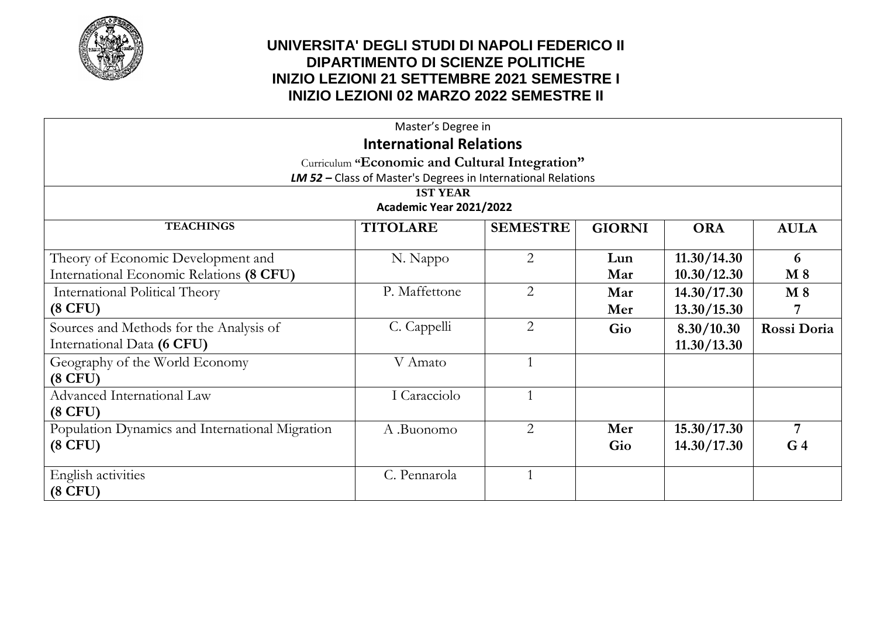

| Master's Degree in                                           |               |                |               |             |                |
|--------------------------------------------------------------|---------------|----------------|---------------|-------------|----------------|
| <b>International Relations</b>                               |               |                |               |             |                |
| Curriculum "Economic and Cultural Integration"               |               |                |               |             |                |
| LM 52 - Class of Master's Degrees in International Relations |               |                |               |             |                |
| <b>1ST YEAR</b><br>Academic Year 2021/2022                   |               |                |               |             |                |
| <b>TEACHINGS</b><br><b>SEMESTRE</b><br><b>TITOLARE</b>       |               |                |               |             |                |
|                                                              |               |                | <b>GIORNI</b> | <b>ORA</b>  | <b>AULA</b>    |
| Theory of Economic Development and                           | N. Nappo      | $\overline{2}$ | Lun           | 11.30/14.30 | 6              |
| International Economic Relations (8 CFU)                     |               |                | Mar           | 10.30/12.30 | $M_8$          |
| <b>International Political Theory</b>                        | P. Maffettone | $\overline{2}$ | Mar           | 14.30/17.30 | $M_8$          |
| $(8$ CFU)                                                    |               |                | Mer           | 13.30/15.30 |                |
| Sources and Methods for the Analysis of                      | C. Cappelli   | 2              | Gio           | 8.30/10.30  | Rossi Doria    |
| International Data (6 CFU)                                   |               |                |               | 11.30/13.30 |                |
| Geography of the World Economy                               | V Amato       |                |               |             |                |
| $(8$ CFU)                                                    |               |                |               |             |                |
| Advanced International Law                                   | I Caracciolo  |                |               |             |                |
| $(8$ CFU)                                                    |               |                |               |             |                |
| Population Dynamics and International Migration              | A .Buonomo    | 2              | Mer           | 15.30/17.30 | 7              |
| $(8$ CFU)                                                    |               |                | Gio           | 14.30/17.30 | G <sub>4</sub> |
| English activities                                           | C. Pennarola  |                |               |             |                |
| $(8$ CFU)                                                    |               |                |               |             |                |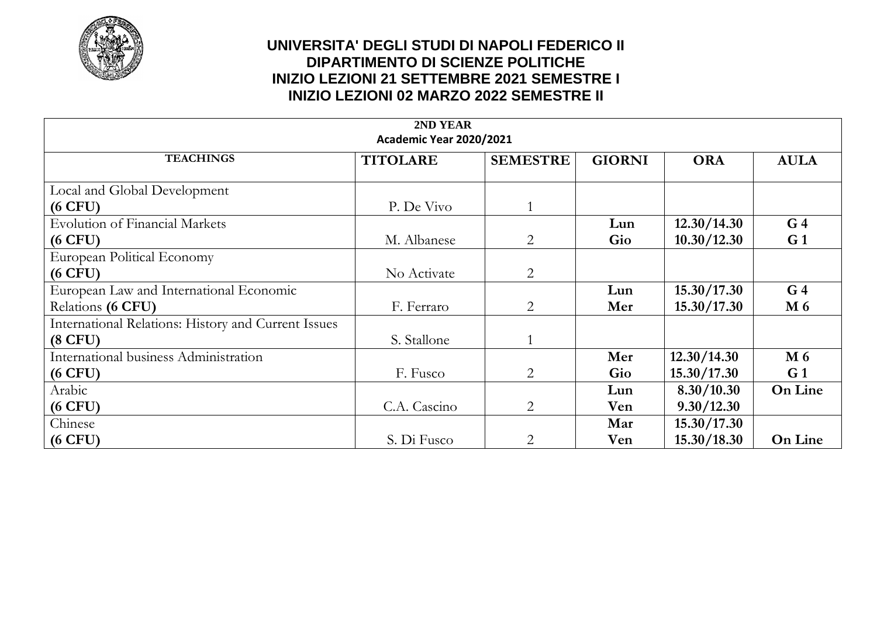

| 2ND YEAR<br>Academic Year 2020/2021                 |                 |                 |               |             |                |
|-----------------------------------------------------|-----------------|-----------------|---------------|-------------|----------------|
| <b>TEACHINGS</b>                                    | <b>TITOLARE</b> | <b>SEMESTRE</b> | <b>GIORNI</b> | <b>ORA</b>  | <b>AULA</b>    |
| Local and Global Development                        |                 |                 |               |             |                |
| $(6$ CFU)                                           | P. De Vivo      |                 |               |             |                |
| <b>Evolution of Financial Markets</b>               |                 |                 | Lun           | 12.30/14.30 | G <sub>4</sub> |
| $(6$ CFU)                                           | M. Albanese     | $\overline{2}$  | Gio           | 10.30/12.30 | G <sub>1</sub> |
| European Political Economy                          |                 |                 |               |             |                |
| $(6$ CFU)                                           | No Activate     | 2               |               |             |                |
| European Law and International Economic             |                 |                 | Lun           | 15.30/17.30 | G <sub>4</sub> |
| Relations (6 CFU)                                   | F. Ferraro      | $\overline{2}$  | Mer           | 15.30/17.30 | M 6            |
| International Relations: History and Current Issues |                 |                 |               |             |                |
| $(8$ CFU)                                           | S. Stallone     |                 |               |             |                |
| International business Administration               |                 |                 | Mer           | 12.30/14.30 | M 6            |
| $(6$ CFU)                                           | F. Fusco        | $\overline{2}$  | Gio           | 15.30/17.30 | G <sub>1</sub> |
| Arabic                                              |                 |                 | Lun           | 8.30/10.30  | <b>On Line</b> |
| $(6$ CFU)                                           | C.A. Cascino    | $\overline{2}$  | Ven           | 9.30/12.30  |                |
| Chinese                                             |                 |                 | Mar           | 15.30/17.30 |                |
| $(6$ CFU)                                           | S. Di Fusco     | $\overline{2}$  | Ven           | 15.30/18.30 | <b>On Line</b> |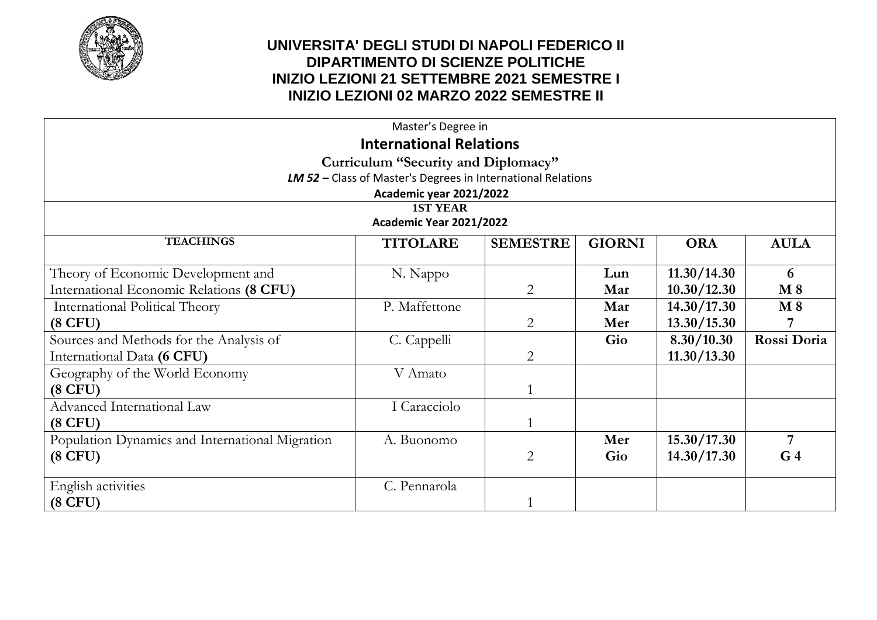

| Master's Degree in                                           |                         |                 |               |               |                |  |
|--------------------------------------------------------------|-------------------------|-----------------|---------------|---------------|----------------|--|
| <b>International Relations</b>                               |                         |                 |               |               |                |  |
| Curriculum "Security and Diplomacy"                          |                         |                 |               |               |                |  |
| LM 52 - Class of Master's Degrees in International Relations |                         |                 |               |               |                |  |
|                                                              | Academic year 2021/2022 |                 |               |               |                |  |
| <b>1ST YEAR</b><br>Academic Year 2021/2022                   |                         |                 |               |               |                |  |
| <b>TEACHINGS</b>                                             |                         |                 |               |               |                |  |
|                                                              | <b>TITOLARE</b>         | <b>SEMESTRE</b> | <b>GIORNI</b> | <b>ORA</b>    | <b>AULA</b>    |  |
| Theory of Economic Development and                           | N. Nappo                |                 | Lun           | 11.30/14.30   | 6              |  |
| International Economic Relations (8 CFU)                     |                         | $\overline{2}$  | Mar           | 10.30/12.30   | $M_8$          |  |
| International Political Theory                               | P. Maffettone           |                 | Mar           | 14.30/17.30   | $M_8$          |  |
| $(8$ CFU)                                                    |                         | $\overline{2}$  | Mer           | 13.30/15.30   |                |  |
| Sources and Methods for the Analysis of                      | C. Cappelli             |                 | Gio           | 8.30/10.30    | Rossi Doria    |  |
| International Data (6 CFU)                                   |                         | $\overline{2}$  |               | 11.30 / 13.30 |                |  |
| Geography of the World Economy                               | V Amato                 |                 |               |               |                |  |
| $(8$ CFU)                                                    |                         |                 |               |               |                |  |
| Advanced International Law                                   | I Caracciolo            |                 |               |               |                |  |
| $(8$ CFU)                                                    |                         |                 |               |               |                |  |
| Population Dynamics and International Migration              | A. Buonomo              |                 | Mer           | 15.30/17.30   | 7              |  |
| $(8$ CFU)                                                    |                         | $\overline{2}$  | Gio           | 14.30/17.30   | G <sub>4</sub> |  |
| English activities                                           | C. Pennarola            |                 |               |               |                |  |
| $(8$ CFU)                                                    |                         |                 |               |               |                |  |